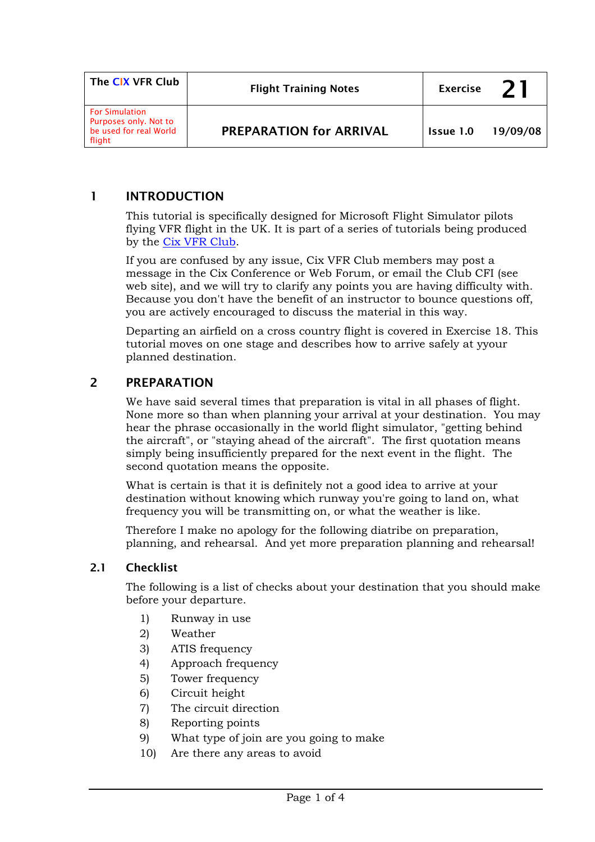| The CIX VFR Club                                                                   | <b>Flight Training Notes</b>   | <b>Exercise</b>  |          |
|------------------------------------------------------------------------------------|--------------------------------|------------------|----------|
| <b>For Simulation</b><br>Purposes only. Not to<br>be used for real World<br>flight | <b>PREPARATION for ARRIVAL</b> | <b>Issue 1.0</b> | 19/09/08 |

## 1 INTRODUCTION

This tutorial is specifically designed for Microsoft Flight Simulator pilots flying VFR flight in the UK. It is part of a series of tutorials being produced by the [Cix VFR Club.](http://www.cixvfrclub.org.uk/)

If you are confused by any issue, Cix VFR Club members may post a message in the Cix Conference or Web Forum, or email the Club CFI (see web site), and we will try to clarify any points you are having difficulty with. Because you don't have the benefit of an instructor to bounce questions off, you are actively encouraged to discuss the material in this way.

Departing an airfield on a cross country flight is covered in Exercise 18. This tutorial moves on one stage and describes how to arrive safely at yyour planned destination.

#### 2 PREPARATION

We have said several times that preparation is vital in all phases of flight. None more so than when planning your arrival at your destination. You may hear the phrase occasionally in the world flight simulator, "getting behind the aircraft", or "staying ahead of the aircraft". The first quotation means simply being insufficiently prepared for the next event in the flight. The second quotation means the opposite.

What is certain is that it is definitely not a good idea to arrive at your destination without knowing which runway you're going to land on, what frequency you will be transmitting on, or what the weather is like.

Therefore I make no apology for the following diatribe on preparation, planning, and rehearsal. And yet more preparation planning and rehearsal!

#### 2.1 Checklist

The following is a list of checks about your destination that you should make before your departure.

- 1) Runway in use
- 2) Weather
- 3) ATIS frequency
- 4) Approach frequency
- 5) Tower frequency
- 6) Circuit height
- 7) The circuit direction
- 8) Reporting points
- 9) What type of join are you going to make
- 10) Are there any areas to avoid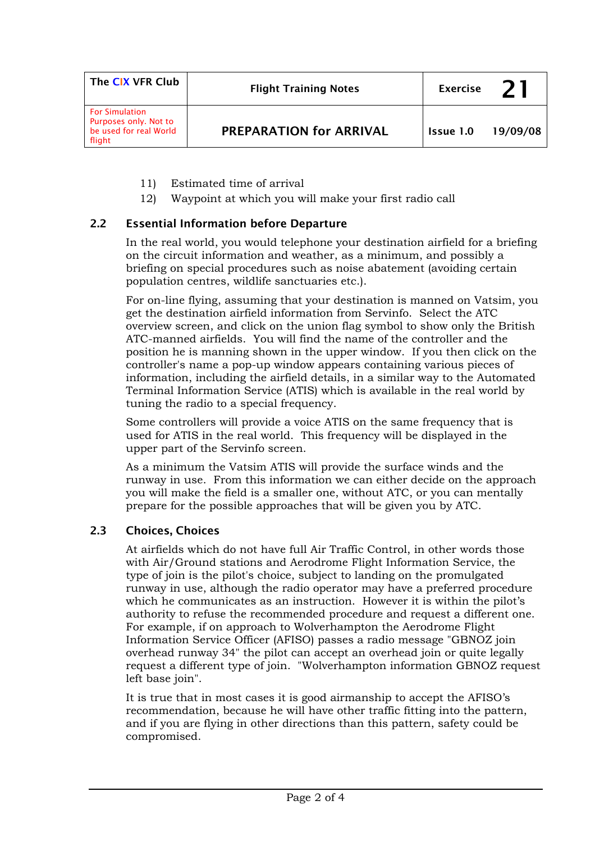| The CIX VFR Club                                                                   | <b>Flight Training Notes</b>   | <b>Exercise</b> |          |
|------------------------------------------------------------------------------------|--------------------------------|-----------------|----------|
| <b>For Simulation</b><br>Purposes only. Not to<br>be used for real World<br>flight | <b>PREPARATION for ARRIVAL</b> | Issue 1.0       | 19/09/08 |

- 11) Estimated time of arrival
- 12) Waypoint at which you will make your first radio call

## 2.2 Essential Information before Departure

In the real world, you would telephone your destination airfield for a briefing on the circuit information and weather, as a minimum, and possibly a briefing on special procedures such as noise abatement (avoiding certain population centres, wildlife sanctuaries etc.).

For on-line flying, assuming that your destination is manned on Vatsim, you get the destination airfield information from Servinfo. Select the ATC overview screen, and click on the union flag symbol to show only the British ATC-manned airfields. You will find the name of the controller and the position he is manning shown in the upper window. If you then click on the controller's name a pop-up window appears containing various pieces of information, including the airfield details, in a similar way to the Automated Terminal Information Service (ATIS) which is available in the real world by tuning the radio to a special frequency.

Some controllers will provide a voice ATIS on the same frequency that is used for ATIS in the real world. This frequency will be displayed in the upper part of the Servinfo screen.

As a minimum the Vatsim ATIS will provide the surface winds and the runway in use. From this information we can either decide on the approach you will make the field is a smaller one, without ATC, or you can mentally prepare for the possible approaches that will be given you by ATC.

#### 2.3 Choices, Choices

At airfields which do not have full Air Traffic Control, in other words those with Air/Ground stations and Aerodrome Flight Information Service, the type of join is the pilot's choice, subject to landing on the promulgated runway in use, although the radio operator may have a preferred procedure which he communicates as an instruction. However it is within the pilot's authority to refuse the recommended procedure and request a different one. For example, if on approach to Wolverhampton the Aerodrome Flight Information Service Officer (AFISO) passes a radio message "GBNOZ join overhead runway 34" the pilot can accept an overhead join or quite legally request a different type of join. "Wolverhampton information GBNOZ request left base ioin".

It is true that in most cases it is good airmanship to accept the AFISO's recommendation, because he will have other traffic fitting into the pattern, and if you are flying in other directions than this pattern, safety could be compromised.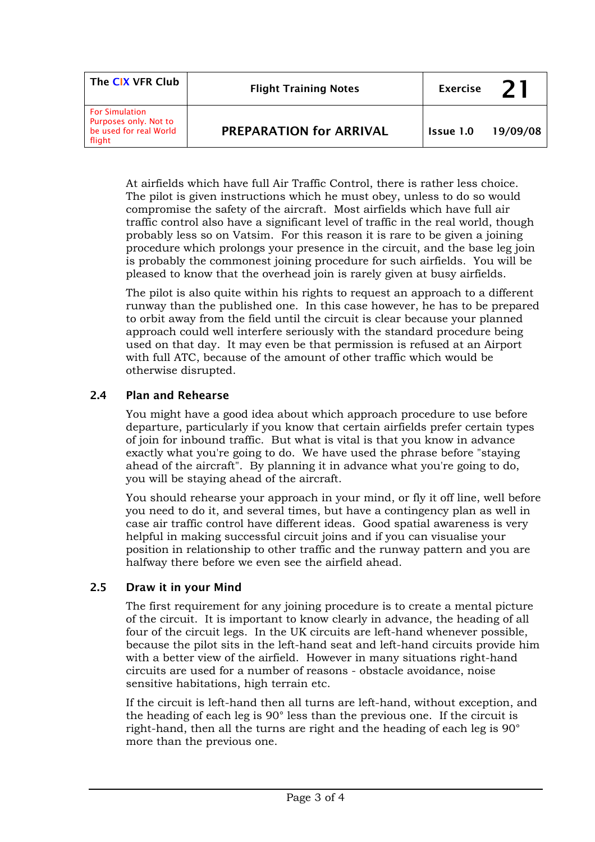| The CIX VFR Club                                                                   | <b>Flight Training Notes</b>   | <b>Exercise</b> | 21       |
|------------------------------------------------------------------------------------|--------------------------------|-----------------|----------|
| <b>For Simulation</b><br>Purposes only. Not to<br>be used for real World<br>flight | <b>PREPARATION for ARRIVAL</b> | Issue 1.0       | 19/09/08 |

At airfields which have full Air Traffic Control, there is rather less choice. The pilot is given instructions which he must obey, unless to do so would compromise the safety of the aircraft. Most airfields which have full air traffic control also have a significant level of traffic in the real world, though probably less so on Vatsim. For this reason it is rare to be given a joining procedure which prolongs your presence in the circuit, and the base leg join is probably the commonest joining procedure for such airfields. You will be pleased to know that the overhead join is rarely given at busy airfields.

The pilot is also quite within his rights to request an approach to a different runway than the published one. In this case however, he has to be prepared to orbit away from the field until the circuit is clear because your planned approach could well interfere seriously with the standard procedure being used on that day. It may even be that permission is refused at an Airport with full ATC, because of the amount of other traffic which would be otherwise disrupted.

## 2.4 Plan and Rehearse

You might have a good idea about which approach procedure to use before departure, particularly if you know that certain airfields prefer certain types of join for inbound traffic. But what is vital is that you know in advance exactly what you're going to do. We have used the phrase before "staying ahead of the aircraft". By planning it in advance what you're going to do, you will be staying ahead of the aircraft.

You should rehearse your approach in your mind, or fly it off line, well before you need to do it, and several times, but have a contingency plan as well in case air traffic control have different ideas. Good spatial awareness is very helpful in making successful circuit joins and if you can visualise your position in relationship to other traffic and the runway pattern and you are halfway there before we even see the airfield ahead.

## 2.5 Draw it in your Mind

The first requirement for any joining procedure is to create a mental picture of the circuit. It is important to know clearly in advance, the heading of all four of the circuit legs. In the UK circuits are left-hand whenever possible, because the pilot sits in the left-hand seat and left-hand circuits provide him with a better view of the airfield. However in many situations right-hand circuits are used for a number of reasons - obstacle avoidance, noise sensitive habitations, high terrain etc.

If the circuit is left-hand then all turns are left-hand, without exception, and the heading of each leg is 90° less than the previous one. If the circuit is right-hand, then all the turns are right and the heading of each leg is 90° more than the previous one.